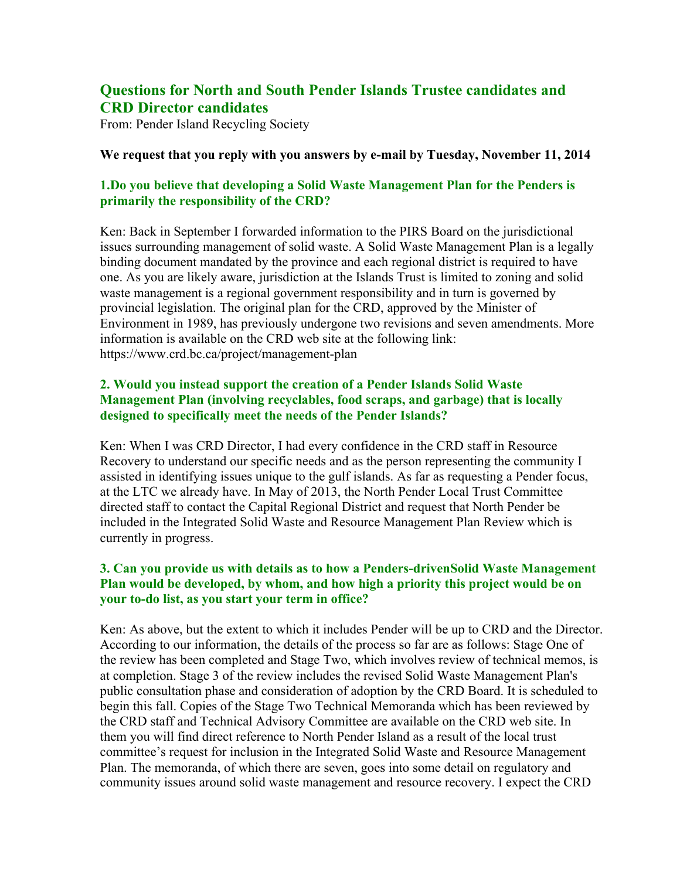# **Questions for North and South Pender Islands Trustee candidates and CRD Director candidates**

From: Pender Island Recycling Society

#### **We request that you reply with you answers by e-mail by Tuesday, November 11, 2014**

# **1.Do you believe that developing a Solid Waste Management Plan for the Penders is primarily the responsibility of the CRD?**

Ken: Back in September I forwarded information to the PIRS Board on the jurisdictional issues surrounding management of solid waste. A Solid Waste Management Plan is a legally binding document mandated by the province and each regional district is required to have one. As you are likely aware, jurisdiction at the Islands Trust is limited to zoning and solid waste management is a regional government responsibility and in turn is governed by provincial legislation. The original plan for the CRD, approved by the Minister of Environment in 1989, has previously undergone two revisions and seven amendments. More information is available on the CRD web site at the following link: https://www.crd.bc.ca/project/management-plan

### **2. Would you instead support the creation of a Pender Islands Solid Waste Management Plan (involving recyclables, food scraps, and garbage) that is locally designed to specifically meet the needs of the Pender Islands?**

Ken: When I was CRD Director, I had every confidence in the CRD staff in Resource Recovery to understand our specific needs and as the person representing the community I assisted in identifying issues unique to the gulf islands. As far as requesting a Pender focus, at the LTC we already have. In May of 2013, the North Pender Local Trust Committee directed staff to contact the Capital Regional District and request that North Pender be included in the Integrated Solid Waste and Resource Management Plan Review which is currently in progress.

# **3. Can you provide us with details as to how a Penders-drivenSolid Waste Management Plan would be developed, by whom, and how high a priority this project would be on your to-do list, as you start your term in office?**

Ken: As above, but the extent to which it includes Pender will be up to CRD and the Director. According to our information, the details of the process so far are as follows: Stage One of the review has been completed and Stage Two, which involves review of technical memos, is at completion. Stage 3 of the review includes the revised Solid Waste Management Plan's public consultation phase and consideration of adoption by the CRD Board. It is scheduled to begin this fall. Copies of the Stage Two Technical Memoranda which has been reviewed by the CRD staff and Technical Advisory Committee are available on the CRD web site. In them you will find direct reference to North Pender Island as a result of the local trust committee's request for inclusion in the Integrated Solid Waste and Resource Management Plan. The memoranda, of which there are seven, goes into some detail on regulatory and community issues around solid waste management and resource recovery. I expect the CRD